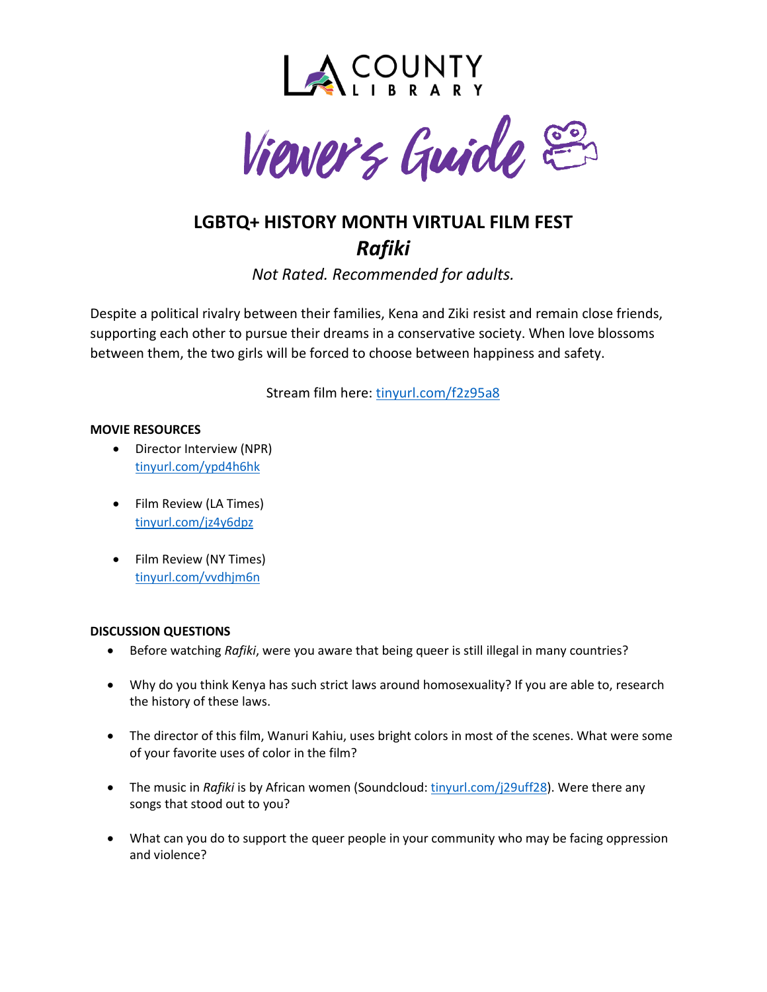



# **LGBTQ+ HISTORY MONTH VIRTUAL FILM FEST** *Rafiki*

*Not Rated. Recommended for adults.*

Despite a political rivalry between their families, Kena and Ziki resist and remain close friends, supporting each other to pursue their dreams in a conservative society. When love blossoms between them, the two girls will be forced to choose between happiness and safety.

Stream film here: [tinyurl.com/f2z95a8](https://lacounty.kanopy.com/video/rafiki)

## **MOVIE RESOURCES**

- Director Interview (NPR) [tinyurl.com/ypd4h6hk](https://www.npr.org/2019/04/20/715533608/rafiki-the-first-kenyan-film-to-premiere-at-cannes-banned-at-home)
- Film Review (LA Times) [tinyurl.com/jz4y6dpz](https://www.latimes.com/entertainment/movies/la-et-mn-rafiki-review-20190509-story.html)
- Film Review (NY Times) [tinyurl.com/vvdhjm6n](https://www.nytimes.com/2019/04/18/movies/rafiki-review.html)

## **DISCUSSION QUESTIONS**

- Before watching *Rafiki*, were you aware that being queer is still illegal in many countries?
- Why do you think Kenya has such strict laws around homosexuality? If you are able to, research the history of these laws.
- The director of this film, Wanuri Kahiu, uses bright colors in most of the scenes. What were some of your favorite uses of color in the film?
- The music in *Rafiki* is by African women (Soundcloud: [tinyurl.com/j29uff28\)](https://soundcloud.com/mouthwateringrecords/sets/rafiki-original-motion-picture-soundtrack). Were there any songs that stood out to you?
- What can you do to support the queer people in your community who may be facing oppression and violence?